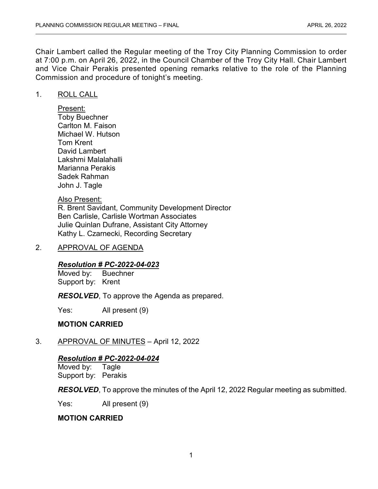Chair Lambert called the Regular meeting of the Troy City Planning Commission to order at 7:00 p.m. on April 26, 2022, in the Council Chamber of the Troy City Hall. Chair Lambert and Vice Chair Perakis presented opening remarks relative to the role of the Planning Commission and procedure of tonight's meeting.

## 1. ROLL CALL

Present: Toby Buechner Carlton M. Faison Michael W. Hutson Tom Krent David Lambert Lakshmi Malalahalli Marianna Perakis Sadek Rahman John J. Tagle

## Also Present:

R. Brent Savidant, Community Development Director Ben Carlisle, Carlisle Wortman Associates Julie Quinlan Dufrane, Assistant City Attorney Kathy L. Czarnecki, Recording Secretary

## 2. APPROVAL OF AGENDA

# *Resolution # PC-2022-04-023*

Moved by: Buechner Support by: Krent

*RESOLVED*, To approve the Agenda as prepared.

Yes: All present (9)

## **MOTION CARRIED**

3. APPROVAL OF MINUTES – April 12, 2022

## *Resolution # PC-2022-04-024*

Moved by: Tagle Support by: Perakis

*RESOLVED*, To approve the minutes of the April 12, 2022 Regular meeting as submitted.

Yes: All present (9)

## **MOTION CARRIED**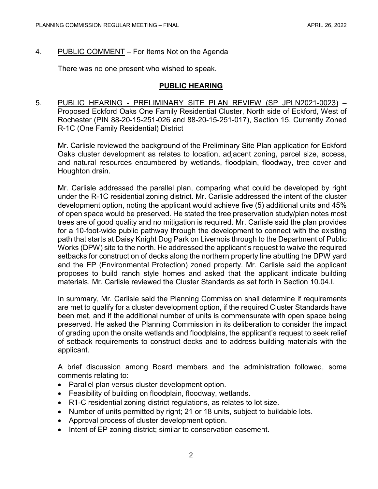# 4. PUBLIC COMMENT – For Items Not on the Agenda

There was no one present who wished to speak.

## **PUBLIC HEARING**

5. PUBLIC HEARING - PRELIMINARY SITE PLAN REVIEW (SP JPLN2021-0023) – Proposed Eckford Oaks One Family Residential Cluster, North side of Eckford, West of Rochester (PIN 88-20-15-251-026 and 88-20-15-251-017), Section 15, Currently Zoned R-1C (One Family Residential) District

Mr. Carlisle reviewed the background of the Preliminary Site Plan application for Eckford Oaks cluster development as relates to location, adjacent zoning, parcel size, access, and natural resources encumbered by wetlands, floodplain, floodway, tree cover and Houghton drain.

Mr. Carlisle addressed the parallel plan, comparing what could be developed by right under the R-1C residential zoning district. Mr. Carlisle addressed the intent of the cluster development option, noting the applicant would achieve five (5) additional units and 45% of open space would be preserved. He stated the tree preservation study/plan notes most trees are of good quality and no mitigation is required. Mr. Carlisle said the plan provides for a 10-foot-wide public pathway through the development to connect with the existing path that starts at Daisy Knight Dog Park on Livernois through to the Department of Public Works (DPW) site to the north. He addressed the applicant's request to waive the required setbacks for construction of decks along the northern property line abutting the DPW yard and the EP (Environmental Protection) zoned property. Mr. Carlisle said the applicant proposes to build ranch style homes and asked that the applicant indicate building materials. Mr. Carlisle reviewed the Cluster Standards as set forth in Section 10.04.I.

In summary, Mr. Carlisle said the Planning Commission shall determine if requirements are met to qualify for a cluster development option, if the required Cluster Standards have been met, and if the additional number of units is commensurate with open space being preserved. He asked the Planning Commission in its deliberation to consider the impact of grading upon the onsite wetlands and floodplains, the applicant's request to seek relief of setback requirements to construct decks and to address building materials with the applicant.

A brief discussion among Board members and the administration followed, some comments relating to:

- Parallel plan versus cluster development option.
- Feasibility of building on floodplain, floodway, wetlands.
- R1-C residential zoning district regulations, as relates to lot size.
- Number of units permitted by right; 21 or 18 units, subject to buildable lots.
- Approval process of cluster development option.
- Intent of EP zoning district; similar to conservation easement.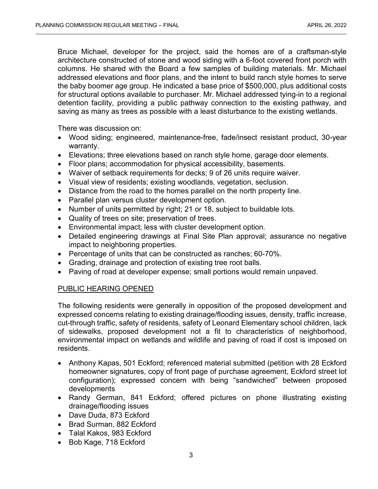Bruce Michael, developer for the project, said the homes are of a craftsman-style architecture constructed of stone and wood siding with a 6-foot covered front porch with columns. He shared with the Board a few samples of building materials. Mr. Michael addressed elevations and floor plans, and the intent to build ranch style homes to serve the baby boomer age group. He indicated a base price of \$500,000, plus additional costs for structural options available to purchaser. Mr. Michael addressed tying-in to a regional detention facility, providing a public pathway connection to the existing pathway, and saving as many as trees as possible with a least disturbance to the existing wetlands.

There was discussion on:

- Wood siding; engineered, maintenance-free, fade/insect resistant product, 30-year warranty.
- Elevations; three elevations based on ranch style home, garage door elements.
- Floor plans; accommodation for physical accessibility, basements.
- Waiver of setback requirements for decks; 9 of 26 units require waiver.
- Visual view of residents; existing woodlands, vegetation, seclusion.
- Distance from the road to the homes parallel on the north property line.
- Parallel plan versus cluster development option.
- Number of units permitted by right; 21 or 18, subject to buildable lots.
- Quality of trees on site; preservation of trees.
- Environmental impact; less with cluster development option.
- Detailed engineering drawings at Final Site Plan approval; assurance no negative impact to neighboring properties.
- Percentage of units that can be constructed as ranches; 60-70%.
- Grading, drainage and protection of existing tree root balls.
- Paving of road at developer expense; small portions would remain unpaved.

# PUBLIC HEARING OPENED

The following residents were generally in opposition of the proposed development and expressed concerns relating to existing drainage/flooding issues, density, traffic increase, cut-through traffic, safety of residents, safety of Leonard Elementary school children, lack of sidewalks, proposed development not a fit to characteristics of neighborhood, environmental impact on wetlands and wildlife and paving of road if cost is imposed on residents.

- Anthony Kapas, 501 Eckford; referenced material submitted (petition with 28 Eckford homeowner signatures, copy of front page of purchase agreement, Eckford street lot configuration); expressed concern with being "sandwiched" between proposed developments
- Randy German, 841 Eckford; offered pictures on phone illustrating existing drainage/flooding issues
- Dave Duda, 873 Eckford
- Brad Surman, 882 Eckford
- Talal Kakos, 983 Eckford
- Bob Kage, 718 Eckford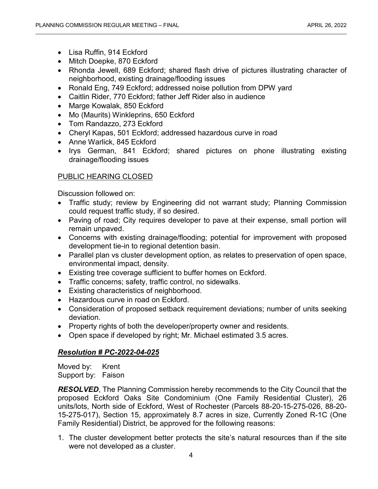- Lisa Ruffin, 914 Eckford
- Mitch Doepke, 870 Eckford
- Rhonda Jewell, 689 Eckford; shared flash drive of pictures illustrating character of neighborhood, existing drainage/flooding issues
- Ronald Eng, 749 Eckford; addressed noise pollution from DPW yard
- Caitlin Rider, 770 Eckford; father Jeff Rider also in audience
- Marge Kowalak, 850 Eckford
- Mo (Maurits) Winkleprins, 650 Eckford
- Tom Randazzo, 273 Eckford
- Cheryl Kapas, 501 Eckford; addressed hazardous curve in road
- Anne Warlick, 845 Eckford
- Irys German, 841 Eckford; shared pictures on phone illustrating existing drainage/flooding issues

# PUBLIC HEARING CLOSED

Discussion followed on:

- Traffic study; review by Engineering did not warrant study; Planning Commission could request traffic study, if so desired.
- Paving of road; City requires developer to pave at their expense, small portion will remain unpaved.
- Concerns with existing drainage/flooding; potential for improvement with proposed development tie-in to regional detention basin.
- Parallel plan vs cluster development option, as relates to preservation of open space, environmental impact, density.
- Existing tree coverage sufficient to buffer homes on Eckford.
- Traffic concerns; safety, traffic control, no sidewalks.
- Existing characteristics of neighborhood.
- Hazardous curve in road on Eckford.
- Consideration of proposed setback requirement deviations; number of units seeking deviation.
- Property rights of both the developer/property owner and residents.
- Open space if developed by right; Mr. Michael estimated 3.5 acres.

# *Resolution # PC-2022-04-025*

Moved by: Krent Support by: Faison

*RESOLVED*, The Planning Commission hereby recommends to the City Council that the proposed Eckford Oaks Site Condominium (One Family Residential Cluster), 26 units/lots, North side of Eckford, West of Rochester (Parcels 88-20-15-275-026, 88-20- 15-275-017), Section 15, approximately 8.7 acres in size, Currently Zoned R-1C (One Family Residential) District, be approved for the following reasons:

1. The cluster development better protects the site's natural resources than if the site were not developed as a cluster.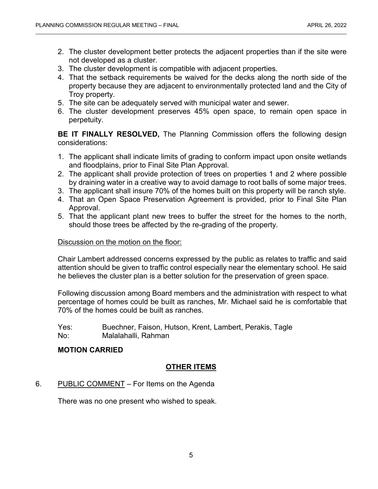- 2. The cluster development better protects the adjacent properties than if the site were not developed as a cluster.
- 3. The cluster development is compatible with adjacent properties.
- 4. That the setback requirements be waived for the decks along the north side of the property because they are adjacent to environmentally protected land and the City of Troy property.
- 5. The site can be adequately served with municipal water and sewer.
- 6. The cluster development preserves 45% open space, to remain open space in perpetuity.

**BE IT FINALLY RESOLVED,** The Planning Commission offers the following design considerations:

- 1. The applicant shall indicate limits of grading to conform impact upon onsite wetlands and floodplains, prior to Final Site Plan Approval.
- 2. The applicant shall provide protection of trees on properties 1 and 2 where possible by draining water in a creative way to avoid damage to root balls of some major trees.
- 3. The applicant shall insure 70% of the homes built on this property will be ranch style.
- 4. That an Open Space Preservation Agreement is provided, prior to Final Site Plan Approval.
- 5. That the applicant plant new trees to buffer the street for the homes to the north, should those trees be affected by the re-grading of the property.

## Discussion on the motion on the floor:

Chair Lambert addressed concerns expressed by the public as relates to traffic and said attention should be given to traffic control especially near the elementary school. He said he believes the cluster plan is a better solution for the preservation of green space.

Following discussion among Board members and the administration with respect to what percentage of homes could be built as ranches, Mr. Michael said he is comfortable that 70% of the homes could be built as ranches.

Yes: Buechner, Faison, Hutson, Krent, Lambert, Perakis, Tagle No: Malalahalli, Rahman

## **MOTION CARRIED**

# **OTHER ITEMS**

# 6. PUBLIC COMMENT – For Items on the Agenda

There was no one present who wished to speak.